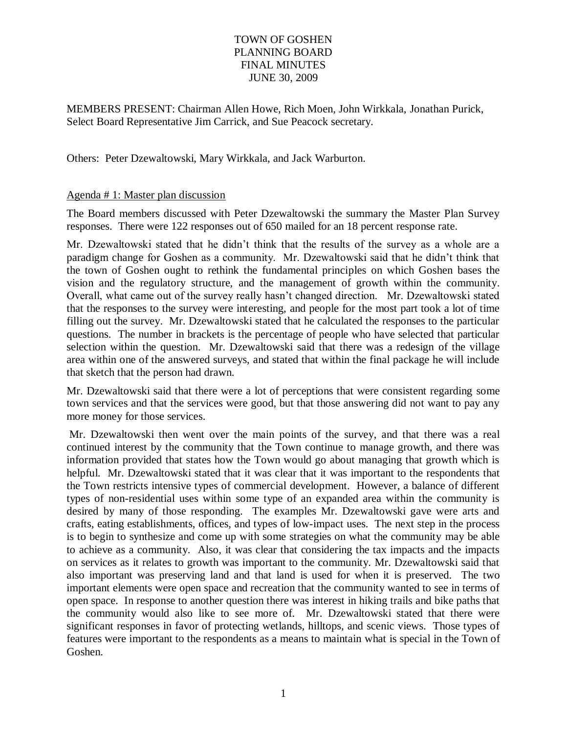MEMBERS PRESENT: Chairman Allen Howe, Rich Moen, John Wirkkala, Jonathan Purick, Select Board Representative Jim Carrick, and Sue Peacock secretary.

Others: Peter Dzewaltowski, Mary Wirkkala, and Jack Warburton.

## Agenda # 1: Master plan discussion

The Board members discussed with Peter Dzewaltowski the summary the Master Plan Survey responses. There were 122 responses out of 650 mailed for an 18 percent response rate.

Mr. Dzewaltowski stated that he didn't think that the results of the survey as a whole are a paradigm change for Goshen as a community. Mr. Dzewaltowski said that he didn't think that the town of Goshen ought to rethink the fundamental principles on which Goshen bases the vision and the regulatory structure, and the management of growth within the community. Overall, what came out of the survey really hasn't changed direction. Mr. Dzewaltowski stated that the responses to the survey were interesting, and people for the most part took a lot of time filling out the survey. Mr. Dzewaltowski stated that he calculated the responses to the particular questions. The number in brackets is the percentage of people who have selected that particular selection within the question. Mr. Dzewaltowski said that there was a redesign of the village area within one of the answered surveys, and stated that within the final package he will include that sketch that the person had drawn.

Mr. Dzewaltowski said that there were a lot of perceptions that were consistent regarding some town services and that the services were good, but that those answering did not want to pay any more money for those services.

Mr. Dzewaltowski then went over the main points of the survey, and that there was a real continued interest by the community that the Town continue to manage growth, and there was information provided that states how the Town would go about managing that growth which is helpful. Mr. Dzewaltowski stated that it was clear that it was important to the respondents that the Town restricts intensive types of commercial development. However, a balance of different types of non-residential uses within some type of an expanded area within the community is desired by many of those responding. The examples Mr. Dzewaltowski gave were arts and crafts, eating establishments, offices, and types of low-impact uses. The next step in the process is to begin to synthesize and come up with some strategies on what the community may be able to achieve as a community. Also, it was clear that considering the tax impacts and the impacts on services as it relates to growth was important to the community. Mr. Dzewaltowski said that also important was preserving land and that land is used for when it is preserved. The two important elements were open space and recreation that the community wanted to see in terms of open space. In response to another question there was interest in hiking trails and bike paths that the community would also like to see more of. Mr. Dzewaltowski stated that there were significant responses in favor of protecting wetlands, hilltops, and scenic views. Those types of features were important to the respondents as a means to maintain what is special in the Town of Goshen.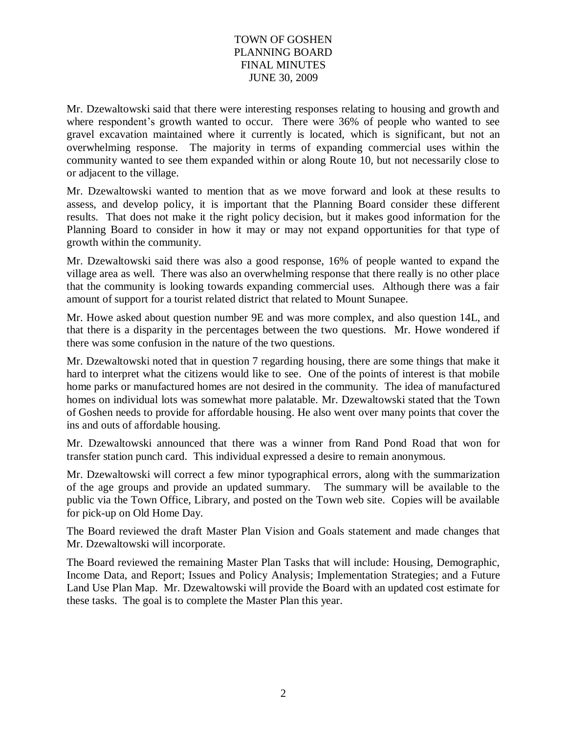Mr. Dzewaltowski said that there were interesting responses relating to housing and growth and where respondent's growth wanted to occur. There were 36% of people who wanted to see gravel excavation maintained where it currently is located, which is significant, but not an overwhelming response. The majority in terms of expanding commercial uses within the community wanted to see them expanded within or along Route 10, but not necessarily close to or adjacent to the village.

Mr. Dzewaltowski wanted to mention that as we move forward and look at these results to assess, and develop policy, it is important that the Planning Board consider these different results. That does not make it the right policy decision, but it makes good information for the Planning Board to consider in how it may or may not expand opportunities for that type of growth within the community.

Mr. Dzewaltowski said there was also a good response, 16% of people wanted to expand the village area as well. There was also an overwhelming response that there really is no other place that the community is looking towards expanding commercial uses. Although there was a fair amount of support for a tourist related district that related to Mount Sunapee.

Mr. Howe asked about question number 9E and was more complex, and also question 14L, and that there is a disparity in the percentages between the two questions. Mr. Howe wondered if there was some confusion in the nature of the two questions.

Mr. Dzewaltowski noted that in question 7 regarding housing, there are some things that make it hard to interpret what the citizens would like to see. One of the points of interest is that mobile home parks or manufactured homes are not desired in the community. The idea of manufactured homes on individual lots was somewhat more palatable. Mr. Dzewaltowski stated that the Town of Goshen needs to provide for affordable housing. He also went over many points that cover the ins and outs of affordable housing.

Mr. Dzewaltowski announced that there was a winner from Rand Pond Road that won for transfer station punch card. This individual expressed a desire to remain anonymous.

Mr. Dzewaltowski will correct a few minor typographical errors, along with the summarization of the age groups and provide an updated summary. The summary will be available to the public via the Town Office, Library, and posted on the Town web site. Copies will be available for pick-up on Old Home Day.

The Board reviewed the draft Master Plan Vision and Goals statement and made changes that Mr. Dzewaltowski will incorporate.

The Board reviewed the remaining Master Plan Tasks that will include: Housing, Demographic, Income Data, and Report; Issues and Policy Analysis; Implementation Strategies; and a Future Land Use Plan Map. Mr. Dzewaltowski will provide the Board with an updated cost estimate for these tasks. The goal is to complete the Master Plan this year.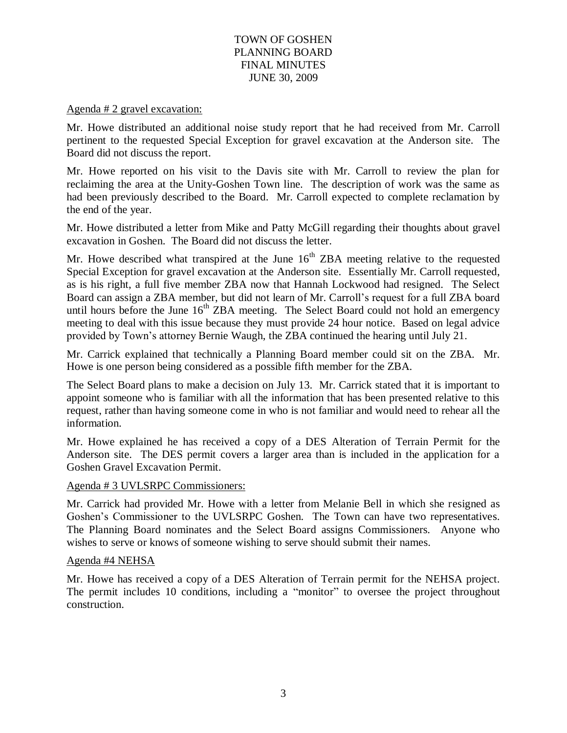### Agenda # 2 gravel excavation:

Mr. Howe distributed an additional noise study report that he had received from Mr. Carroll pertinent to the requested Special Exception for gravel excavation at the Anderson site. The Board did not discuss the report.

Mr. Howe reported on his visit to the Davis site with Mr. Carroll to review the plan for reclaiming the area at the Unity-Goshen Town line. The description of work was the same as had been previously described to the Board. Mr. Carroll expected to complete reclamation by the end of the year.

Mr. Howe distributed a letter from Mike and Patty McGill regarding their thoughts about gravel excavation in Goshen. The Board did not discuss the letter.

Mr. Howe described what transpired at the June  $16<sup>th</sup> ZBA$  meeting relative to the requested Special Exception for gravel excavation at the Anderson site. Essentially Mr. Carroll requested, as is his right, a full five member ZBA now that Hannah Lockwood had resigned. The Select Board can assign a ZBA member, but did not learn of Mr. Carroll's request for a full ZBA board until hours before the June 16<sup>th</sup> ZBA meeting. The Select Board could not hold an emergency meeting to deal with this issue because they must provide 24 hour notice. Based on legal advice provided by Town's attorney Bernie Waugh, the ZBA continued the hearing until July 21.

Mr. Carrick explained that technically a Planning Board member could sit on the ZBA. Mr. Howe is one person being considered as a possible fifth member for the ZBA.

The Select Board plans to make a decision on July 13. Mr. Carrick stated that it is important to appoint someone who is familiar with all the information that has been presented relative to this request, rather than having someone come in who is not familiar and would need to rehear all the information.

Mr. Howe explained he has received a copy of a DES Alteration of Terrain Permit for the Anderson site. The DES permit covers a larger area than is included in the application for a Goshen Gravel Excavation Permit.

## Agenda # 3 UVLSRPC Commissioners:

Mr. Carrick had provided Mr. Howe with a letter from Melanie Bell in which she resigned as Goshen's Commissioner to the UVLSRPC Goshen. The Town can have two representatives. The Planning Board nominates and the Select Board assigns Commissioners. Anyone who wishes to serve or knows of someone wishing to serve should submit their names.

#### Agenda #4 NEHSA

Mr. Howe has received a copy of a DES Alteration of Terrain permit for the NEHSA project. The permit includes 10 conditions, including a "monitor" to oversee the project throughout construction.